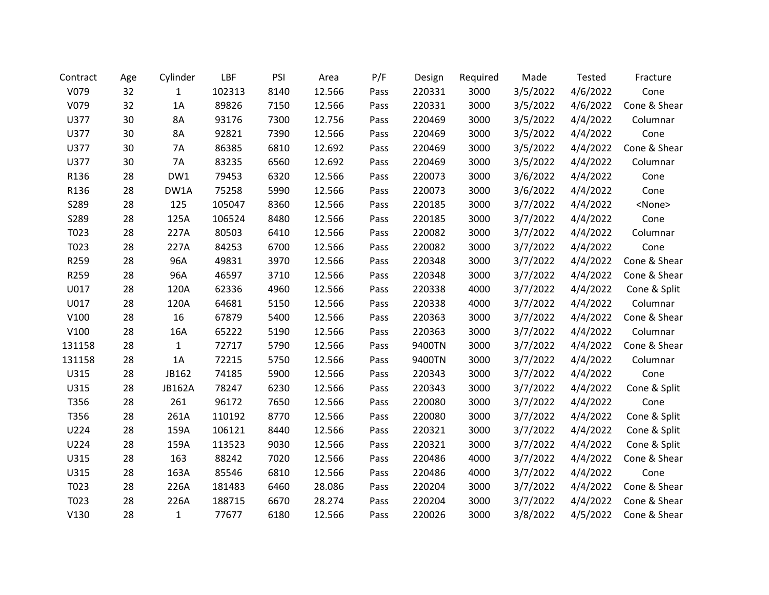| Contract | Age | Cylinder      | LBF    | PSI  | Area   | P/F  | Design | Required | Made     | Tested   | Fracture      |
|----------|-----|---------------|--------|------|--------|------|--------|----------|----------|----------|---------------|
| V079     | 32  | 1             | 102313 | 8140 | 12.566 | Pass | 220331 | 3000     | 3/5/2022 | 4/6/2022 | Cone          |
| V079     | 32  | 1A            | 89826  | 7150 | 12.566 | Pass | 220331 | 3000     | 3/5/2022 | 4/6/2022 | Cone & Shear  |
| U377     | 30  | 8A            | 93176  | 7300 | 12.756 | Pass | 220469 | 3000     | 3/5/2022 | 4/4/2022 | Columnar      |
| U377     | 30  | 8A            | 92821  | 7390 | 12.566 | Pass | 220469 | 3000     | 3/5/2022 | 4/4/2022 | Cone          |
| U377     | 30  | 7A            | 86385  | 6810 | 12.692 | Pass | 220469 | 3000     | 3/5/2022 | 4/4/2022 | Cone & Shear  |
| U377     | 30  | 7A            | 83235  | 6560 | 12.692 | Pass | 220469 | 3000     | 3/5/2022 | 4/4/2022 | Columnar      |
| R136     | 28  | DW1           | 79453  | 6320 | 12.566 | Pass | 220073 | 3000     | 3/6/2022 | 4/4/2022 | Cone          |
| R136     | 28  | DW1A          | 75258  | 5990 | 12.566 | Pass | 220073 | 3000     | 3/6/2022 | 4/4/2022 | Cone          |
| S289     | 28  | 125           | 105047 | 8360 | 12.566 | Pass | 220185 | 3000     | 3/7/2022 | 4/4/2022 | <none></none> |
| S289     | 28  | 125A          | 106524 | 8480 | 12.566 | Pass | 220185 | 3000     | 3/7/2022 | 4/4/2022 | Cone          |
| T023     | 28  | 227A          | 80503  | 6410 | 12.566 | Pass | 220082 | 3000     | 3/7/2022 | 4/4/2022 | Columnar      |
| T023     | 28  | 227A          | 84253  | 6700 | 12.566 | Pass | 220082 | 3000     | 3/7/2022 | 4/4/2022 | Cone          |
| R259     | 28  | 96A           | 49831  | 3970 | 12.566 | Pass | 220348 | 3000     | 3/7/2022 | 4/4/2022 | Cone & Shear  |
| R259     | 28  | 96A           | 46597  | 3710 | 12.566 | Pass | 220348 | 3000     | 3/7/2022 | 4/4/2022 | Cone & Shear  |
| U017     | 28  | 120A          | 62336  | 4960 | 12.566 | Pass | 220338 | 4000     | 3/7/2022 | 4/4/2022 | Cone & Split  |
| U017     | 28  | 120A          | 64681  | 5150 | 12.566 | Pass | 220338 | 4000     | 3/7/2022 | 4/4/2022 | Columnar      |
| V100     | 28  | 16            | 67879  | 5400 | 12.566 | Pass | 220363 | 3000     | 3/7/2022 | 4/4/2022 | Cone & Shear  |
| V100     | 28  | 16A           | 65222  | 5190 | 12.566 | Pass | 220363 | 3000     | 3/7/2022 | 4/4/2022 | Columnar      |
| 131158   | 28  | 1             | 72717  | 5790 | 12.566 | Pass | 9400TN | 3000     | 3/7/2022 | 4/4/2022 | Cone & Shear  |
| 131158   | 28  | 1A            | 72215  | 5750 | 12.566 | Pass | 9400TN | 3000     | 3/7/2022 | 4/4/2022 | Columnar      |
| U315     | 28  | JB162         | 74185  | 5900 | 12.566 | Pass | 220343 | 3000     | 3/7/2022 | 4/4/2022 | Cone          |
| U315     | 28  | <b>JB162A</b> | 78247  | 6230 | 12.566 | Pass | 220343 | 3000     | 3/7/2022 | 4/4/2022 | Cone & Split  |
| T356     | 28  | 261           | 96172  | 7650 | 12.566 | Pass | 220080 | 3000     | 3/7/2022 | 4/4/2022 | Cone          |
| T356     | 28  | 261A          | 110192 | 8770 | 12.566 | Pass | 220080 | 3000     | 3/7/2022 | 4/4/2022 | Cone & Split  |
| U224     | 28  | 159A          | 106121 | 8440 | 12.566 | Pass | 220321 | 3000     | 3/7/2022 | 4/4/2022 | Cone & Split  |
| U224     | 28  | 159A          | 113523 | 9030 | 12.566 | Pass | 220321 | 3000     | 3/7/2022 | 4/4/2022 | Cone & Split  |
| U315     | 28  | 163           | 88242  | 7020 | 12.566 | Pass | 220486 | 4000     | 3/7/2022 | 4/4/2022 | Cone & Shear  |
| U315     | 28  | 163A          | 85546  | 6810 | 12.566 | Pass | 220486 | 4000     | 3/7/2022 | 4/4/2022 | Cone          |
| T023     | 28  | 226A          | 181483 | 6460 | 28.086 | Pass | 220204 | 3000     | 3/7/2022 | 4/4/2022 | Cone & Shear  |
| T023     | 28  | 226A          | 188715 | 6670 | 28.274 | Pass | 220204 | 3000     | 3/7/2022 | 4/4/2022 | Cone & Shear  |
| V130     | 28  | $\mathbf{1}$  | 77677  | 6180 | 12.566 | Pass | 220026 | 3000     | 3/8/2022 | 4/5/2022 | Cone & Shear  |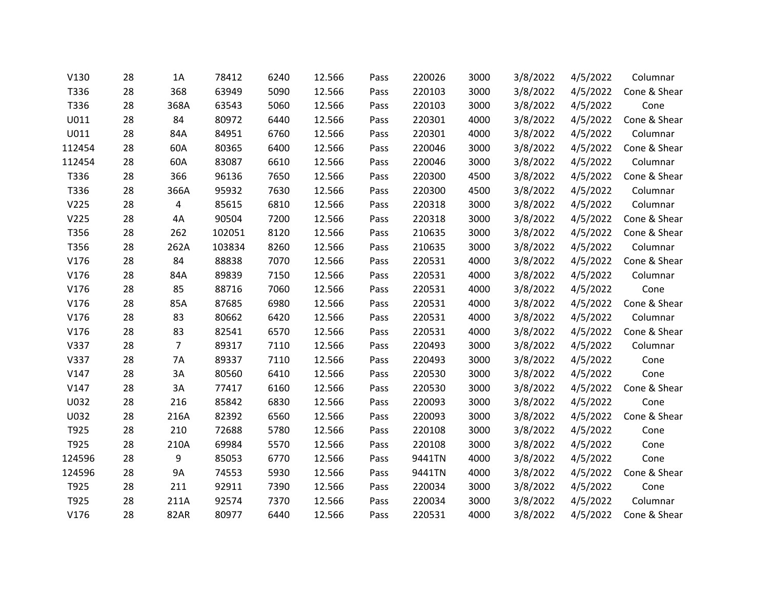| V130   | 28 | 1A             | 78412  | 6240 | 12.566 | Pass | 220026 | 3000 | 3/8/2022 | 4/5/2022 | Columnar     |
|--------|----|----------------|--------|------|--------|------|--------|------|----------|----------|--------------|
| T336   | 28 | 368            | 63949  | 5090 | 12.566 | Pass | 220103 | 3000 | 3/8/2022 | 4/5/2022 | Cone & Shear |
| T336   | 28 | 368A           | 63543  | 5060 | 12.566 | Pass | 220103 | 3000 | 3/8/2022 | 4/5/2022 | Cone         |
| U011   | 28 | 84             | 80972  | 6440 | 12.566 | Pass | 220301 | 4000 | 3/8/2022 | 4/5/2022 | Cone & Shear |
| U011   | 28 | 84A            | 84951  | 6760 | 12.566 | Pass | 220301 | 4000 | 3/8/2022 | 4/5/2022 | Columnar     |
| 112454 | 28 | 60A            | 80365  | 6400 | 12.566 | Pass | 220046 | 3000 | 3/8/2022 | 4/5/2022 | Cone & Shear |
| 112454 | 28 | 60A            | 83087  | 6610 | 12.566 | Pass | 220046 | 3000 | 3/8/2022 | 4/5/2022 | Columnar     |
| T336   | 28 | 366            | 96136  | 7650 | 12.566 | Pass | 220300 | 4500 | 3/8/2022 | 4/5/2022 | Cone & Shear |
| T336   | 28 | 366A           | 95932  | 7630 | 12.566 | Pass | 220300 | 4500 | 3/8/2022 | 4/5/2022 | Columnar     |
| V225   | 28 | 4              | 85615  | 6810 | 12.566 | Pass | 220318 | 3000 | 3/8/2022 | 4/5/2022 | Columnar     |
| V225   | 28 | 4A             | 90504  | 7200 | 12.566 | Pass | 220318 | 3000 | 3/8/2022 | 4/5/2022 | Cone & Shear |
| T356   | 28 | 262            | 102051 | 8120 | 12.566 | Pass | 210635 | 3000 | 3/8/2022 | 4/5/2022 | Cone & Shear |
| T356   | 28 | 262A           | 103834 | 8260 | 12.566 | Pass | 210635 | 3000 | 3/8/2022 | 4/5/2022 | Columnar     |
| V176   | 28 | 84             | 88838  | 7070 | 12.566 | Pass | 220531 | 4000 | 3/8/2022 | 4/5/2022 | Cone & Shear |
| V176   | 28 | 84A            | 89839  | 7150 | 12.566 | Pass | 220531 | 4000 | 3/8/2022 | 4/5/2022 | Columnar     |
| V176   | 28 | 85             | 88716  | 7060 | 12.566 | Pass | 220531 | 4000 | 3/8/2022 | 4/5/2022 | Cone         |
| V176   | 28 | 85A            | 87685  | 6980 | 12.566 | Pass | 220531 | 4000 | 3/8/2022 | 4/5/2022 | Cone & Shear |
| V176   | 28 | 83             | 80662  | 6420 | 12.566 | Pass | 220531 | 4000 | 3/8/2022 | 4/5/2022 | Columnar     |
| V176   | 28 | 83             | 82541  | 6570 | 12.566 | Pass | 220531 | 4000 | 3/8/2022 | 4/5/2022 | Cone & Shear |
| V337   | 28 | $\overline{7}$ | 89317  | 7110 | 12.566 | Pass | 220493 | 3000 | 3/8/2022 | 4/5/2022 | Columnar     |
| V337   | 28 | 7A             | 89337  | 7110 | 12.566 | Pass | 220493 | 3000 | 3/8/2022 | 4/5/2022 | Cone         |
| V147   | 28 | 3A             | 80560  | 6410 | 12.566 | Pass | 220530 | 3000 | 3/8/2022 | 4/5/2022 | Cone         |
| V147   | 28 | 3A             | 77417  | 6160 | 12.566 | Pass | 220530 | 3000 | 3/8/2022 | 4/5/2022 | Cone & Shear |
| U032   | 28 | 216            | 85842  | 6830 | 12.566 | Pass | 220093 | 3000 | 3/8/2022 | 4/5/2022 | Cone         |
| U032   | 28 | 216A           | 82392  | 6560 | 12.566 | Pass | 220093 | 3000 | 3/8/2022 | 4/5/2022 | Cone & Shear |
| T925   | 28 | 210            | 72688  | 5780 | 12.566 | Pass | 220108 | 3000 | 3/8/2022 | 4/5/2022 | Cone         |
| T925   | 28 | 210A           | 69984  | 5570 | 12.566 | Pass | 220108 | 3000 | 3/8/2022 | 4/5/2022 | Cone         |
| 124596 | 28 | 9              | 85053  | 6770 | 12.566 | Pass | 9441TN | 4000 | 3/8/2022 | 4/5/2022 | Cone         |
| 124596 | 28 | <b>9A</b>      | 74553  | 5930 | 12.566 | Pass | 9441TN | 4000 | 3/8/2022 | 4/5/2022 | Cone & Shear |
| T925   | 28 | 211            | 92911  | 7390 | 12.566 | Pass | 220034 | 3000 | 3/8/2022 | 4/5/2022 | Cone         |
| T925   | 28 | 211A           | 92574  | 7370 | 12.566 | Pass | 220034 | 3000 | 3/8/2022 | 4/5/2022 | Columnar     |
| V176   | 28 | <b>82AR</b>    | 80977  | 6440 | 12.566 | Pass | 220531 | 4000 | 3/8/2022 | 4/5/2022 | Cone & Shear |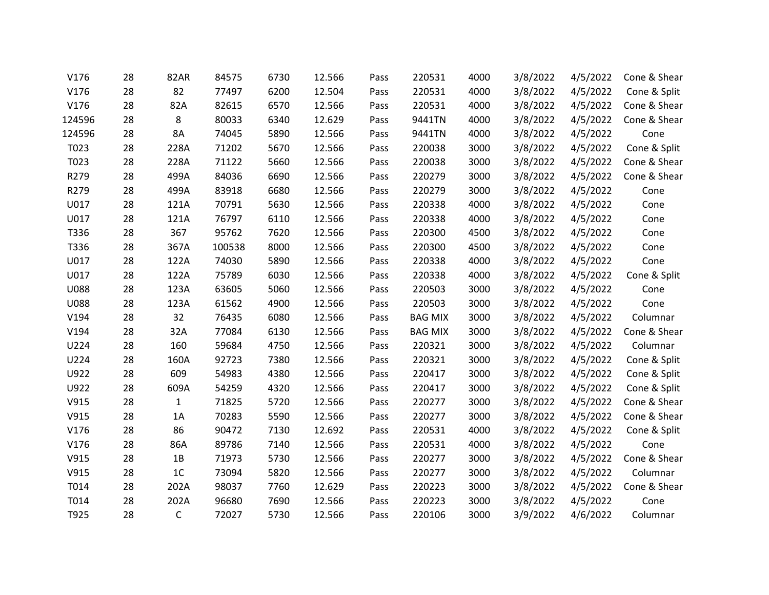| V176        | 28 | 82AR           | 84575  | 6730 | 12.566 | Pass | 220531         | 4000 | 3/8/2022 | 4/5/2022 | Cone & Shear |
|-------------|----|----------------|--------|------|--------|------|----------------|------|----------|----------|--------------|
| V176        | 28 | 82             | 77497  | 6200 | 12.504 | Pass | 220531         | 4000 | 3/8/2022 | 4/5/2022 | Cone & Split |
| V176        | 28 | 82A            | 82615  | 6570 | 12.566 | Pass | 220531         | 4000 | 3/8/2022 | 4/5/2022 | Cone & Shear |
| 124596      | 28 | 8              | 80033  | 6340 | 12.629 | Pass | 9441TN         | 4000 | 3/8/2022 | 4/5/2022 | Cone & Shear |
| 124596      | 28 | 8A             | 74045  | 5890 | 12.566 | Pass | 9441TN         | 4000 | 3/8/2022 | 4/5/2022 | Cone         |
| T023        | 28 | 228A           | 71202  | 5670 | 12.566 | Pass | 220038         | 3000 | 3/8/2022 | 4/5/2022 | Cone & Split |
| T023        | 28 | 228A           | 71122  | 5660 | 12.566 | Pass | 220038         | 3000 | 3/8/2022 | 4/5/2022 | Cone & Shear |
| R279        | 28 | 499A           | 84036  | 6690 | 12.566 | Pass | 220279         | 3000 | 3/8/2022 | 4/5/2022 | Cone & Shear |
| R279        | 28 | 499A           | 83918  | 6680 | 12.566 | Pass | 220279         | 3000 | 3/8/2022 | 4/5/2022 | Cone         |
| U017        | 28 | 121A           | 70791  | 5630 | 12.566 | Pass | 220338         | 4000 | 3/8/2022 | 4/5/2022 | Cone         |
| U017        | 28 | 121A           | 76797  | 6110 | 12.566 | Pass | 220338         | 4000 | 3/8/2022 | 4/5/2022 | Cone         |
| T336        | 28 | 367            | 95762  | 7620 | 12.566 | Pass | 220300         | 4500 | 3/8/2022 | 4/5/2022 | Cone         |
| T336        | 28 | 367A           | 100538 | 8000 | 12.566 | Pass | 220300         | 4500 | 3/8/2022 | 4/5/2022 | Cone         |
| U017        | 28 | 122A           | 74030  | 5890 | 12.566 | Pass | 220338         | 4000 | 3/8/2022 | 4/5/2022 | Cone         |
| U017        | 28 | 122A           | 75789  | 6030 | 12.566 | Pass | 220338         | 4000 | 3/8/2022 | 4/5/2022 | Cone & Split |
| <b>U088</b> | 28 | 123A           | 63605  | 5060 | 12.566 | Pass | 220503         | 3000 | 3/8/2022 | 4/5/2022 | Cone         |
| <b>U088</b> | 28 | 123A           | 61562  | 4900 | 12.566 | Pass | 220503         | 3000 | 3/8/2022 | 4/5/2022 | Cone         |
| V194        | 28 | 32             | 76435  | 6080 | 12.566 | Pass | <b>BAG MIX</b> | 3000 | 3/8/2022 | 4/5/2022 | Columnar     |
| V194        | 28 | 32A            | 77084  | 6130 | 12.566 | Pass | <b>BAG MIX</b> | 3000 | 3/8/2022 | 4/5/2022 | Cone & Shear |
| U224        | 28 | 160            | 59684  | 4750 | 12.566 | Pass | 220321         | 3000 | 3/8/2022 | 4/5/2022 | Columnar     |
| U224        | 28 | 160A           | 92723  | 7380 | 12.566 | Pass | 220321         | 3000 | 3/8/2022 | 4/5/2022 | Cone & Split |
| U922        | 28 | 609            | 54983  | 4380 | 12.566 | Pass | 220417         | 3000 | 3/8/2022 | 4/5/2022 | Cone & Split |
| U922        | 28 | 609A           | 54259  | 4320 | 12.566 | Pass | 220417         | 3000 | 3/8/2022 | 4/5/2022 | Cone & Split |
| V915        | 28 | 1              | 71825  | 5720 | 12.566 | Pass | 220277         | 3000 | 3/8/2022 | 4/5/2022 | Cone & Shear |
| V915        | 28 | 1A             | 70283  | 5590 | 12.566 | Pass | 220277         | 3000 | 3/8/2022 | 4/5/2022 | Cone & Shear |
| V176        | 28 | 86             | 90472  | 7130 | 12.692 | Pass | 220531         | 4000 | 3/8/2022 | 4/5/2022 | Cone & Split |
| V176        | 28 | 86A            | 89786  | 7140 | 12.566 | Pass | 220531         | 4000 | 3/8/2022 | 4/5/2022 | Cone         |
| V915        | 28 | 1B             | 71973  | 5730 | 12.566 | Pass | 220277         | 3000 | 3/8/2022 | 4/5/2022 | Cone & Shear |
| V915        | 28 | 1 <sup>C</sup> | 73094  | 5820 | 12.566 | Pass | 220277         | 3000 | 3/8/2022 | 4/5/2022 | Columnar     |
| T014        | 28 | 202A           | 98037  | 7760 | 12.629 | Pass | 220223         | 3000 | 3/8/2022 | 4/5/2022 | Cone & Shear |
| T014        | 28 | 202A           | 96680  | 7690 | 12.566 | Pass | 220223         | 3000 | 3/8/2022 | 4/5/2022 | Cone         |
| T925        | 28 | $\mathsf{C}$   | 72027  | 5730 | 12.566 | Pass | 220106         | 3000 | 3/9/2022 | 4/6/2022 | Columnar     |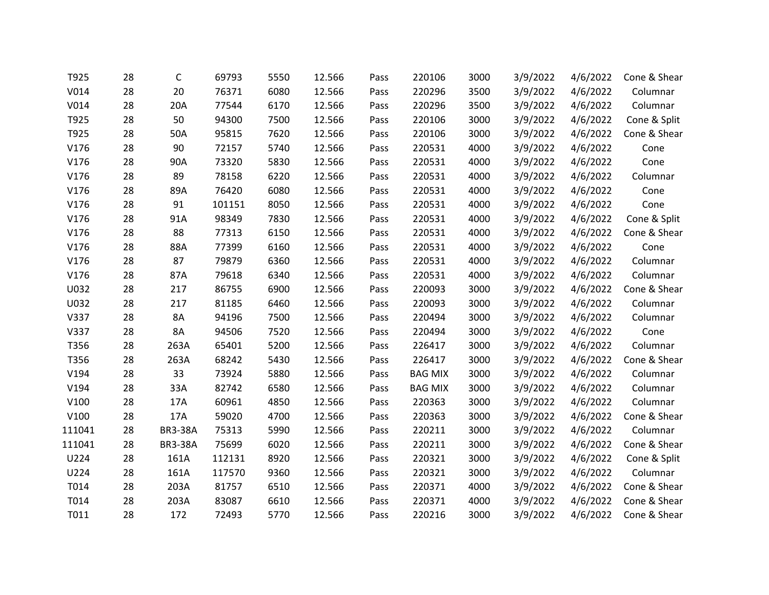| T925             | 28 | C              | 69793  | 5550 | 12.566 | Pass | 220106         | 3000 | 3/9/2022 | 4/6/2022 | Cone & Shear |
|------------------|----|----------------|--------|------|--------|------|----------------|------|----------|----------|--------------|
| V014             | 28 | 20             | 76371  | 6080 | 12.566 | Pass | 220296         | 3500 | 3/9/2022 | 4/6/2022 | Columnar     |
| V <sub>014</sub> | 28 | 20A            | 77544  | 6170 | 12.566 | Pass | 220296         | 3500 | 3/9/2022 | 4/6/2022 | Columnar     |
| T925             | 28 | 50             | 94300  | 7500 | 12.566 | Pass | 220106         | 3000 | 3/9/2022 | 4/6/2022 | Cone & Split |
| T925             | 28 | 50A            | 95815  | 7620 | 12.566 | Pass | 220106         | 3000 | 3/9/2022 | 4/6/2022 | Cone & Shear |
| V176             | 28 | 90             | 72157  | 5740 | 12.566 | Pass | 220531         | 4000 | 3/9/2022 | 4/6/2022 | Cone         |
| V176             | 28 | 90A            | 73320  | 5830 | 12.566 | Pass | 220531         | 4000 | 3/9/2022 | 4/6/2022 | Cone         |
| V176             | 28 | 89             | 78158  | 6220 | 12.566 | Pass | 220531         | 4000 | 3/9/2022 | 4/6/2022 | Columnar     |
| V176             | 28 | 89A            | 76420  | 6080 | 12.566 | Pass | 220531         | 4000 | 3/9/2022 | 4/6/2022 | Cone         |
| V176             | 28 | 91             | 101151 | 8050 | 12.566 | Pass | 220531         | 4000 | 3/9/2022 | 4/6/2022 | Cone         |
| V176             | 28 | 91A            | 98349  | 7830 | 12.566 | Pass | 220531         | 4000 | 3/9/2022 | 4/6/2022 | Cone & Split |
| V176             | 28 | 88             | 77313  | 6150 | 12.566 | Pass | 220531         | 4000 | 3/9/2022 | 4/6/2022 | Cone & Shear |
| V176             | 28 | 88A            | 77399  | 6160 | 12.566 | Pass | 220531         | 4000 | 3/9/2022 | 4/6/2022 | Cone         |
| V176             | 28 | 87             | 79879  | 6360 | 12.566 | Pass | 220531         | 4000 | 3/9/2022 | 4/6/2022 | Columnar     |
| V176             | 28 | 87A            | 79618  | 6340 | 12.566 | Pass | 220531         | 4000 | 3/9/2022 | 4/6/2022 | Columnar     |
| U032             | 28 | 217            | 86755  | 6900 | 12.566 | Pass | 220093         | 3000 | 3/9/2022 | 4/6/2022 | Cone & Shear |
| U032             | 28 | 217            | 81185  | 6460 | 12.566 | Pass | 220093         | 3000 | 3/9/2022 | 4/6/2022 | Columnar     |
| V337             | 28 | 8A             | 94196  | 7500 | 12.566 | Pass | 220494         | 3000 | 3/9/2022 | 4/6/2022 | Columnar     |
| V337             | 28 | 8A             | 94506  | 7520 | 12.566 | Pass | 220494         | 3000 | 3/9/2022 | 4/6/2022 | Cone         |
| T356             | 28 | 263A           | 65401  | 5200 | 12.566 | Pass | 226417         | 3000 | 3/9/2022 | 4/6/2022 | Columnar     |
| T356             | 28 | 263A           | 68242  | 5430 | 12.566 | Pass | 226417         | 3000 | 3/9/2022 | 4/6/2022 | Cone & Shear |
| V194             | 28 | 33             | 73924  | 5880 | 12.566 | Pass | <b>BAG MIX</b> | 3000 | 3/9/2022 | 4/6/2022 | Columnar     |
| V194             | 28 | 33A            | 82742  | 6580 | 12.566 | Pass | <b>BAG MIX</b> | 3000 | 3/9/2022 | 4/6/2022 | Columnar     |
| V100             | 28 | 17A            | 60961  | 4850 | 12.566 | Pass | 220363         | 3000 | 3/9/2022 | 4/6/2022 | Columnar     |
| V100             | 28 | 17A            | 59020  | 4700 | 12.566 | Pass | 220363         | 3000 | 3/9/2022 | 4/6/2022 | Cone & Shear |
| 111041           | 28 | <b>BR3-38A</b> | 75313  | 5990 | 12.566 | Pass | 220211         | 3000 | 3/9/2022 | 4/6/2022 | Columnar     |
| 111041           | 28 | <b>BR3-38A</b> | 75699  | 6020 | 12.566 | Pass | 220211         | 3000 | 3/9/2022 | 4/6/2022 | Cone & Shear |
| U224             | 28 | 161A           | 112131 | 8920 | 12.566 | Pass | 220321         | 3000 | 3/9/2022 | 4/6/2022 | Cone & Split |
| U224             | 28 | 161A           | 117570 | 9360 | 12.566 | Pass | 220321         | 3000 | 3/9/2022 | 4/6/2022 | Columnar     |
| T014             | 28 | 203A           | 81757  | 6510 | 12.566 | Pass | 220371         | 4000 | 3/9/2022 | 4/6/2022 | Cone & Shear |
| T014             | 28 | 203A           | 83087  | 6610 | 12.566 | Pass | 220371         | 4000 | 3/9/2022 | 4/6/2022 | Cone & Shear |
| T011             | 28 | 172            | 72493  | 5770 | 12.566 | Pass | 220216         | 3000 | 3/9/2022 | 4/6/2022 | Cone & Shear |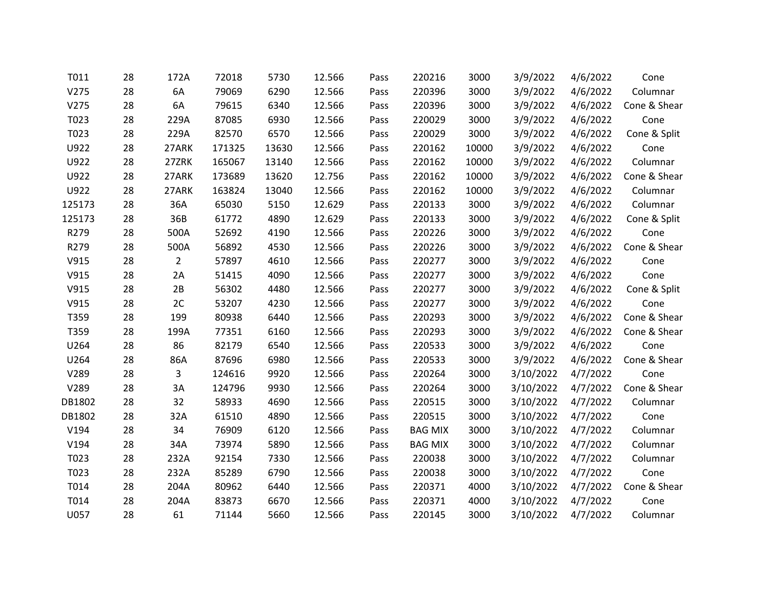| T011   | 28 | 172A           | 72018  | 5730  | 12.566 | Pass | 220216         | 3000  | 3/9/2022  | 4/6/2022 | Cone         |
|--------|----|----------------|--------|-------|--------|------|----------------|-------|-----------|----------|--------------|
| V275   | 28 | 6A             | 79069  | 6290  | 12.566 | Pass | 220396         | 3000  | 3/9/2022  | 4/6/2022 | Columnar     |
| V275   | 28 | 6A             | 79615  | 6340  | 12.566 | Pass | 220396         | 3000  | 3/9/2022  | 4/6/2022 | Cone & Shear |
| T023   | 28 | 229A           | 87085  | 6930  | 12.566 | Pass | 220029         | 3000  | 3/9/2022  | 4/6/2022 | Cone         |
| T023   | 28 | 229A           | 82570  | 6570  | 12.566 | Pass | 220029         | 3000  | 3/9/2022  | 4/6/2022 | Cone & Split |
| U922   | 28 | 27ARK          | 171325 | 13630 | 12.566 | Pass | 220162         | 10000 | 3/9/2022  | 4/6/2022 | Cone         |
| U922   | 28 | 27ZRK          | 165067 | 13140 | 12.566 | Pass | 220162         | 10000 | 3/9/2022  | 4/6/2022 | Columnar     |
| U922   | 28 | 27ARK          | 173689 | 13620 | 12.756 | Pass | 220162         | 10000 | 3/9/2022  | 4/6/2022 | Cone & Shear |
| U922   | 28 | 27ARK          | 163824 | 13040 | 12.566 | Pass | 220162         | 10000 | 3/9/2022  | 4/6/2022 | Columnar     |
| 125173 | 28 | 36A            | 65030  | 5150  | 12.629 | Pass | 220133         | 3000  | 3/9/2022  | 4/6/2022 | Columnar     |
| 125173 | 28 | 36B            | 61772  | 4890  | 12.629 | Pass | 220133         | 3000  | 3/9/2022  | 4/6/2022 | Cone & Split |
| R279   | 28 | 500A           | 52692  | 4190  | 12.566 | Pass | 220226         | 3000  | 3/9/2022  | 4/6/2022 | Cone         |
| R279   | 28 | 500A           | 56892  | 4530  | 12.566 | Pass | 220226         | 3000  | 3/9/2022  | 4/6/2022 | Cone & Shear |
| V915   | 28 | $\overline{2}$ | 57897  | 4610  | 12.566 | Pass | 220277         | 3000  | 3/9/2022  | 4/6/2022 | Cone         |
| V915   | 28 | 2A             | 51415  | 4090  | 12.566 | Pass | 220277         | 3000  | 3/9/2022  | 4/6/2022 | Cone         |
| V915   | 28 | 2B             | 56302  | 4480  | 12.566 | Pass | 220277         | 3000  | 3/9/2022  | 4/6/2022 | Cone & Split |
| V915   | 28 | 2C             | 53207  | 4230  | 12.566 | Pass | 220277         | 3000  | 3/9/2022  | 4/6/2022 | Cone         |
| T359   | 28 | 199            | 80938  | 6440  | 12.566 | Pass | 220293         | 3000  | 3/9/2022  | 4/6/2022 | Cone & Shear |
| T359   | 28 | 199A           | 77351  | 6160  | 12.566 | Pass | 220293         | 3000  | 3/9/2022  | 4/6/2022 | Cone & Shear |
| U264   | 28 | 86             | 82179  | 6540  | 12.566 | Pass | 220533         | 3000  | 3/9/2022  | 4/6/2022 | Cone         |
| U264   | 28 | 86A            | 87696  | 6980  | 12.566 | Pass | 220533         | 3000  | 3/9/2022  | 4/6/2022 | Cone & Shear |
| V289   | 28 | 3              | 124616 | 9920  | 12.566 | Pass | 220264         | 3000  | 3/10/2022 | 4/7/2022 | Cone         |
| V289   | 28 | 3A             | 124796 | 9930  | 12.566 | Pass | 220264         | 3000  | 3/10/2022 | 4/7/2022 | Cone & Shear |
| DB1802 | 28 | 32             | 58933  | 4690  | 12.566 | Pass | 220515         | 3000  | 3/10/2022 | 4/7/2022 | Columnar     |
| DB1802 | 28 | 32A            | 61510  | 4890  | 12.566 | Pass | 220515         | 3000  | 3/10/2022 | 4/7/2022 | Cone         |
| V194   | 28 | 34             | 76909  | 6120  | 12.566 | Pass | <b>BAG MIX</b> | 3000  | 3/10/2022 | 4/7/2022 | Columnar     |
| V194   | 28 | 34A            | 73974  | 5890  | 12.566 | Pass | <b>BAG MIX</b> | 3000  | 3/10/2022 | 4/7/2022 | Columnar     |
| T023   | 28 | 232A           | 92154  | 7330  | 12.566 | Pass | 220038         | 3000  | 3/10/2022 | 4/7/2022 | Columnar     |
| T023   | 28 | 232A           | 85289  | 6790  | 12.566 | Pass | 220038         | 3000  | 3/10/2022 | 4/7/2022 | Cone         |
| T014   | 28 | 204A           | 80962  | 6440  | 12.566 | Pass | 220371         | 4000  | 3/10/2022 | 4/7/2022 | Cone & Shear |
| T014   | 28 | 204A           | 83873  | 6670  | 12.566 | Pass | 220371         | 4000  | 3/10/2022 | 4/7/2022 | Cone         |
| U057   | 28 | 61             | 71144  | 5660  | 12.566 | Pass | 220145         | 3000  | 3/10/2022 | 4/7/2022 | Columnar     |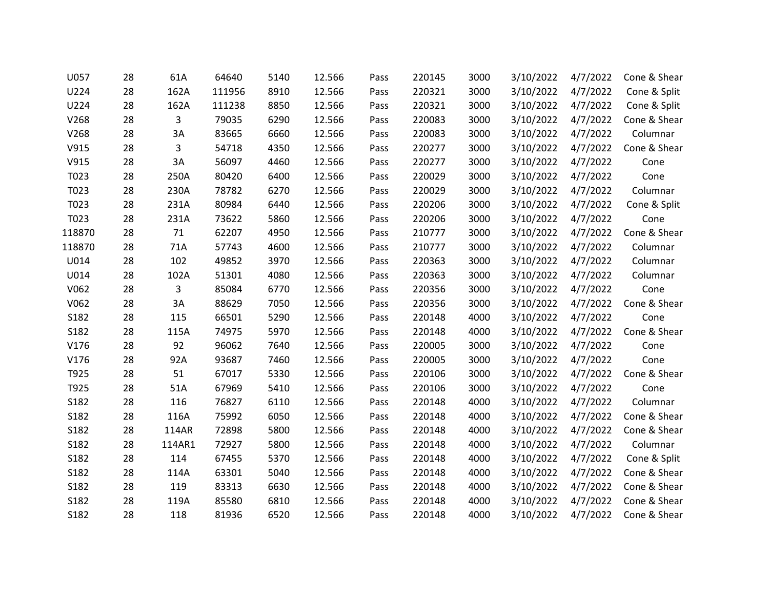| U057   | 28 | 61A    | 64640  | 5140 | 12.566 | Pass | 220145 | 3000 | 3/10/2022 | 4/7/2022 | Cone & Shear |
|--------|----|--------|--------|------|--------|------|--------|------|-----------|----------|--------------|
| U224   | 28 | 162A   | 111956 | 8910 | 12.566 | Pass | 220321 | 3000 | 3/10/2022 | 4/7/2022 | Cone & Split |
| U224   | 28 | 162A   | 111238 | 8850 | 12.566 | Pass | 220321 | 3000 | 3/10/2022 | 4/7/2022 | Cone & Split |
| V268   | 28 | 3      | 79035  | 6290 | 12.566 | Pass | 220083 | 3000 | 3/10/2022 | 4/7/2022 | Cone & Shear |
| V268   | 28 | 3A     | 83665  | 6660 | 12.566 | Pass | 220083 | 3000 | 3/10/2022 | 4/7/2022 | Columnar     |
| V915   | 28 | 3      | 54718  | 4350 | 12.566 | Pass | 220277 | 3000 | 3/10/2022 | 4/7/2022 | Cone & Shear |
| V915   | 28 | 3A     | 56097  | 4460 | 12.566 | Pass | 220277 | 3000 | 3/10/2022 | 4/7/2022 | Cone         |
| T023   | 28 | 250A   | 80420  | 6400 | 12.566 | Pass | 220029 | 3000 | 3/10/2022 | 4/7/2022 | Cone         |
| T023   | 28 | 230A   | 78782  | 6270 | 12.566 | Pass | 220029 | 3000 | 3/10/2022 | 4/7/2022 | Columnar     |
| T023   | 28 | 231A   | 80984  | 6440 | 12.566 | Pass | 220206 | 3000 | 3/10/2022 | 4/7/2022 | Cone & Split |
| T023   | 28 | 231A   | 73622  | 5860 | 12.566 | Pass | 220206 | 3000 | 3/10/2022 | 4/7/2022 | Cone         |
| 118870 | 28 | $71\,$ | 62207  | 4950 | 12.566 | Pass | 210777 | 3000 | 3/10/2022 | 4/7/2022 | Cone & Shear |
| 118870 | 28 | 71A    | 57743  | 4600 | 12.566 | Pass | 210777 | 3000 | 3/10/2022 | 4/7/2022 | Columnar     |
| U014   | 28 | 102    | 49852  | 3970 | 12.566 | Pass | 220363 | 3000 | 3/10/2022 | 4/7/2022 | Columnar     |
| U014   | 28 | 102A   | 51301  | 4080 | 12.566 | Pass | 220363 | 3000 | 3/10/2022 | 4/7/2022 | Columnar     |
| V062   | 28 | 3      | 85084  | 6770 | 12.566 | Pass | 220356 | 3000 | 3/10/2022 | 4/7/2022 | Cone         |
| V062   | 28 | 3A     | 88629  | 7050 | 12.566 | Pass | 220356 | 3000 | 3/10/2022 | 4/7/2022 | Cone & Shear |
| S182   | 28 | 115    | 66501  | 5290 | 12.566 | Pass | 220148 | 4000 | 3/10/2022 | 4/7/2022 | Cone         |
| S182   | 28 | 115A   | 74975  | 5970 | 12.566 | Pass | 220148 | 4000 | 3/10/2022 | 4/7/2022 | Cone & Shear |
| V176   | 28 | 92     | 96062  | 7640 | 12.566 | Pass | 220005 | 3000 | 3/10/2022 | 4/7/2022 | Cone         |
| V176   | 28 | 92A    | 93687  | 7460 | 12.566 | Pass | 220005 | 3000 | 3/10/2022 | 4/7/2022 | Cone         |
| T925   | 28 | 51     | 67017  | 5330 | 12.566 | Pass | 220106 | 3000 | 3/10/2022 | 4/7/2022 | Cone & Shear |
| T925   | 28 | 51A    | 67969  | 5410 | 12.566 | Pass | 220106 | 3000 | 3/10/2022 | 4/7/2022 | Cone         |
| S182   | 28 | 116    | 76827  | 6110 | 12.566 | Pass | 220148 | 4000 | 3/10/2022 | 4/7/2022 | Columnar     |
| S182   | 28 | 116A   | 75992  | 6050 | 12.566 | Pass | 220148 | 4000 | 3/10/2022 | 4/7/2022 | Cone & Shear |
| S182   | 28 | 114AR  | 72898  | 5800 | 12.566 | Pass | 220148 | 4000 | 3/10/2022 | 4/7/2022 | Cone & Shear |
| S182   | 28 | 114AR1 | 72927  | 5800 | 12.566 | Pass | 220148 | 4000 | 3/10/2022 | 4/7/2022 | Columnar     |
| S182   | 28 | 114    | 67455  | 5370 | 12.566 | Pass | 220148 | 4000 | 3/10/2022 | 4/7/2022 | Cone & Split |
| S182   | 28 | 114A   | 63301  | 5040 | 12.566 | Pass | 220148 | 4000 | 3/10/2022 | 4/7/2022 | Cone & Shear |
| S182   | 28 | 119    | 83313  | 6630 | 12.566 | Pass | 220148 | 4000 | 3/10/2022 | 4/7/2022 | Cone & Shear |
| S182   | 28 | 119A   | 85580  | 6810 | 12.566 | Pass | 220148 | 4000 | 3/10/2022 | 4/7/2022 | Cone & Shear |
| S182   | 28 | 118    | 81936  | 6520 | 12.566 | Pass | 220148 | 4000 | 3/10/2022 | 4/7/2022 | Cone & Shear |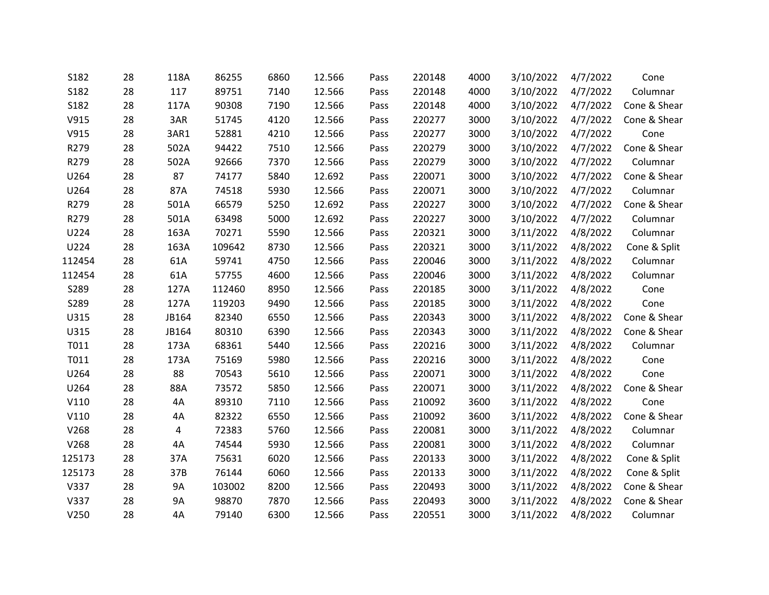| S182   | 28 | 118A      | 86255  | 6860 | 12.566 | Pass | 220148 | 4000 | 3/10/2022 | 4/7/2022 | Cone         |
|--------|----|-----------|--------|------|--------|------|--------|------|-----------|----------|--------------|
| S182   | 28 | 117       | 89751  | 7140 | 12.566 | Pass | 220148 | 4000 | 3/10/2022 | 4/7/2022 | Columnar     |
| S182   | 28 | 117A      | 90308  | 7190 | 12.566 | Pass | 220148 | 4000 | 3/10/2022 | 4/7/2022 | Cone & Shear |
| V915   | 28 | 3AR       | 51745  | 4120 | 12.566 | Pass | 220277 | 3000 | 3/10/2022 | 4/7/2022 | Cone & Shear |
| V915   | 28 | 3AR1      | 52881  | 4210 | 12.566 | Pass | 220277 | 3000 | 3/10/2022 | 4/7/2022 | Cone         |
| R279   | 28 | 502A      | 94422  | 7510 | 12.566 | Pass | 220279 | 3000 | 3/10/2022 | 4/7/2022 | Cone & Shear |
| R279   | 28 | 502A      | 92666  | 7370 | 12.566 | Pass | 220279 | 3000 | 3/10/2022 | 4/7/2022 | Columnar     |
| U264   | 28 | 87        | 74177  | 5840 | 12.692 | Pass | 220071 | 3000 | 3/10/2022 | 4/7/2022 | Cone & Shear |
| U264   | 28 | 87A       | 74518  | 5930 | 12.566 | Pass | 220071 | 3000 | 3/10/2022 | 4/7/2022 | Columnar     |
| R279   | 28 | 501A      | 66579  | 5250 | 12.692 | Pass | 220227 | 3000 | 3/10/2022 | 4/7/2022 | Cone & Shear |
| R279   | 28 | 501A      | 63498  | 5000 | 12.692 | Pass | 220227 | 3000 | 3/10/2022 | 4/7/2022 | Columnar     |
| U224   | 28 | 163A      | 70271  | 5590 | 12.566 | Pass | 220321 | 3000 | 3/11/2022 | 4/8/2022 | Columnar     |
| U224   | 28 | 163A      | 109642 | 8730 | 12.566 | Pass | 220321 | 3000 | 3/11/2022 | 4/8/2022 | Cone & Split |
| 112454 | 28 | 61A       | 59741  | 4750 | 12.566 | Pass | 220046 | 3000 | 3/11/2022 | 4/8/2022 | Columnar     |
| 112454 | 28 | 61A       | 57755  | 4600 | 12.566 | Pass | 220046 | 3000 | 3/11/2022 | 4/8/2022 | Columnar     |
| S289   | 28 | 127A      | 112460 | 8950 | 12.566 | Pass | 220185 | 3000 | 3/11/2022 | 4/8/2022 | Cone         |
| S289   | 28 | 127A      | 119203 | 9490 | 12.566 | Pass | 220185 | 3000 | 3/11/2022 | 4/8/2022 | Cone         |
| U315   | 28 | JB164     | 82340  | 6550 | 12.566 | Pass | 220343 | 3000 | 3/11/2022 | 4/8/2022 | Cone & Shear |
| U315   | 28 | JB164     | 80310  | 6390 | 12.566 | Pass | 220343 | 3000 | 3/11/2022 | 4/8/2022 | Cone & Shear |
| T011   | 28 | 173A      | 68361  | 5440 | 12.566 | Pass | 220216 | 3000 | 3/11/2022 | 4/8/2022 | Columnar     |
| T011   | 28 | 173A      | 75169  | 5980 | 12.566 | Pass | 220216 | 3000 | 3/11/2022 | 4/8/2022 | Cone         |
| U264   | 28 | 88        | 70543  | 5610 | 12.566 | Pass | 220071 | 3000 | 3/11/2022 | 4/8/2022 | Cone         |
| U264   | 28 | 88A       | 73572  | 5850 | 12.566 | Pass | 220071 | 3000 | 3/11/2022 | 4/8/2022 | Cone & Shear |
| V110   | 28 | 4A        | 89310  | 7110 | 12.566 | Pass | 210092 | 3600 | 3/11/2022 | 4/8/2022 | Cone         |
| V110   | 28 | 4A        | 82322  | 6550 | 12.566 | Pass | 210092 | 3600 | 3/11/2022 | 4/8/2022 | Cone & Shear |
| V268   | 28 | 4         | 72383  | 5760 | 12.566 | Pass | 220081 | 3000 | 3/11/2022 | 4/8/2022 | Columnar     |
| V268   | 28 | 4A        | 74544  | 5930 | 12.566 | Pass | 220081 | 3000 | 3/11/2022 | 4/8/2022 | Columnar     |
| 125173 | 28 | 37A       | 75631  | 6020 | 12.566 | Pass | 220133 | 3000 | 3/11/2022 | 4/8/2022 | Cone & Split |
| 125173 | 28 | 37B       | 76144  | 6060 | 12.566 | Pass | 220133 | 3000 | 3/11/2022 | 4/8/2022 | Cone & Split |
| V337   | 28 | 9A        | 103002 | 8200 | 12.566 | Pass | 220493 | 3000 | 3/11/2022 | 4/8/2022 | Cone & Shear |
| V337   | 28 | <b>9A</b> | 98870  | 7870 | 12.566 | Pass | 220493 | 3000 | 3/11/2022 | 4/8/2022 | Cone & Shear |
| V250   | 28 | 4A        | 79140  | 6300 | 12.566 | Pass | 220551 | 3000 | 3/11/2022 | 4/8/2022 | Columnar     |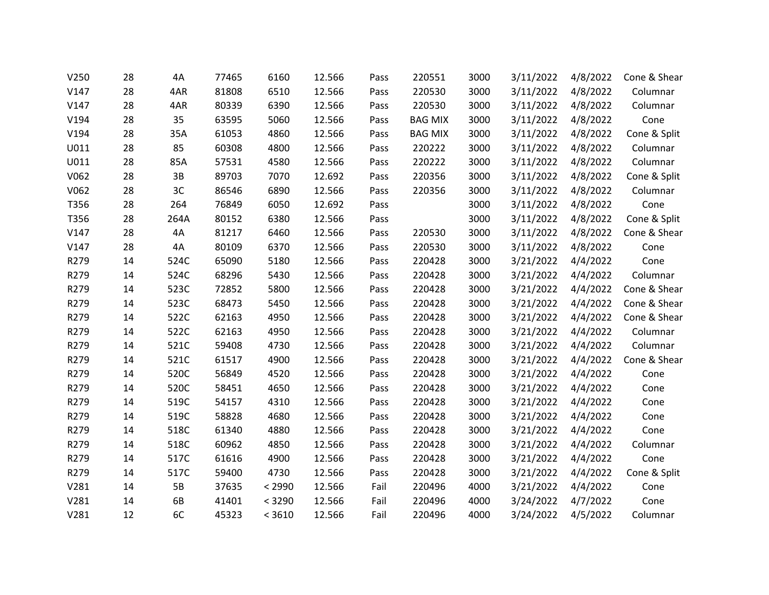| V250 | 28 | 4A   | 77465 | 6160   | 12.566 | Pass | 220551         | 3000 | 3/11/2022 | 4/8/2022 | Cone & Shear |
|------|----|------|-------|--------|--------|------|----------------|------|-----------|----------|--------------|
| V147 | 28 | 4AR  | 81808 | 6510   | 12.566 | Pass | 220530         | 3000 | 3/11/2022 | 4/8/2022 | Columnar     |
| V147 | 28 | 4AR  | 80339 | 6390   | 12.566 | Pass | 220530         | 3000 | 3/11/2022 | 4/8/2022 | Columnar     |
| V194 | 28 | 35   | 63595 | 5060   | 12.566 | Pass | <b>BAG MIX</b> | 3000 | 3/11/2022 | 4/8/2022 | Cone         |
| V194 | 28 | 35A  | 61053 | 4860   | 12.566 | Pass | <b>BAG MIX</b> | 3000 | 3/11/2022 | 4/8/2022 | Cone & Split |
| U011 | 28 | 85   | 60308 | 4800   | 12.566 | Pass | 220222         | 3000 | 3/11/2022 | 4/8/2022 | Columnar     |
| U011 | 28 | 85A  | 57531 | 4580   | 12.566 | Pass | 220222         | 3000 | 3/11/2022 | 4/8/2022 | Columnar     |
| V062 | 28 | 3B   | 89703 | 7070   | 12.692 | Pass | 220356         | 3000 | 3/11/2022 | 4/8/2022 | Cone & Split |
| V062 | 28 | 3C   | 86546 | 6890   | 12.566 | Pass | 220356         | 3000 | 3/11/2022 | 4/8/2022 | Columnar     |
| T356 | 28 | 264  | 76849 | 6050   | 12.692 | Pass |                | 3000 | 3/11/2022 | 4/8/2022 | Cone         |
| T356 | 28 | 264A | 80152 | 6380   | 12.566 | Pass |                | 3000 | 3/11/2022 | 4/8/2022 | Cone & Split |
| V147 | 28 | 4A   | 81217 | 6460   | 12.566 | Pass | 220530         | 3000 | 3/11/2022 | 4/8/2022 | Cone & Shear |
| V147 | 28 | 4A   | 80109 | 6370   | 12.566 | Pass | 220530         | 3000 | 3/11/2022 | 4/8/2022 | Cone         |
| R279 | 14 | 524C | 65090 | 5180   | 12.566 | Pass | 220428         | 3000 | 3/21/2022 | 4/4/2022 | Cone         |
| R279 | 14 | 524C | 68296 | 5430   | 12.566 | Pass | 220428         | 3000 | 3/21/2022 | 4/4/2022 | Columnar     |
| R279 | 14 | 523C | 72852 | 5800   | 12.566 | Pass | 220428         | 3000 | 3/21/2022 | 4/4/2022 | Cone & Shear |
| R279 | 14 | 523C | 68473 | 5450   | 12.566 | Pass | 220428         | 3000 | 3/21/2022 | 4/4/2022 | Cone & Shear |
| R279 | 14 | 522C | 62163 | 4950   | 12.566 | Pass | 220428         | 3000 | 3/21/2022 | 4/4/2022 | Cone & Shear |
| R279 | 14 | 522C | 62163 | 4950   | 12.566 | Pass | 220428         | 3000 | 3/21/2022 | 4/4/2022 | Columnar     |
| R279 | 14 | 521C | 59408 | 4730   | 12.566 | Pass | 220428         | 3000 | 3/21/2022 | 4/4/2022 | Columnar     |
| R279 | 14 | 521C | 61517 | 4900   | 12.566 | Pass | 220428         | 3000 | 3/21/2022 | 4/4/2022 | Cone & Shear |
| R279 | 14 | 520C | 56849 | 4520   | 12.566 | Pass | 220428         | 3000 | 3/21/2022 | 4/4/2022 | Cone         |
| R279 | 14 | 520C | 58451 | 4650   | 12.566 | Pass | 220428         | 3000 | 3/21/2022 | 4/4/2022 | Cone         |
| R279 | 14 | 519C | 54157 | 4310   | 12.566 | Pass | 220428         | 3000 | 3/21/2022 | 4/4/2022 | Cone         |
| R279 | 14 | 519C | 58828 | 4680   | 12.566 | Pass | 220428         | 3000 | 3/21/2022 | 4/4/2022 | Cone         |
| R279 | 14 | 518C | 61340 | 4880   | 12.566 | Pass | 220428         | 3000 | 3/21/2022 | 4/4/2022 | Cone         |
| R279 | 14 | 518C | 60962 | 4850   | 12.566 | Pass | 220428         | 3000 | 3/21/2022 | 4/4/2022 | Columnar     |
| R279 | 14 | 517C | 61616 | 4900   | 12.566 | Pass | 220428         | 3000 | 3/21/2022 | 4/4/2022 | Cone         |
| R279 | 14 | 517C | 59400 | 4730   | 12.566 | Pass | 220428         | 3000 | 3/21/2022 | 4/4/2022 | Cone & Split |
| V281 | 14 | 5B   | 37635 | < 2990 | 12.566 | Fail | 220496         | 4000 | 3/21/2022 | 4/4/2022 | Cone         |
| V281 | 14 | 6B   | 41401 | < 3290 | 12.566 | Fail | 220496         | 4000 | 3/24/2022 | 4/7/2022 | Cone         |
| V281 | 12 | 6C   | 45323 | < 3610 | 12.566 | Fail | 220496         | 4000 | 3/24/2022 | 4/5/2022 | Columnar     |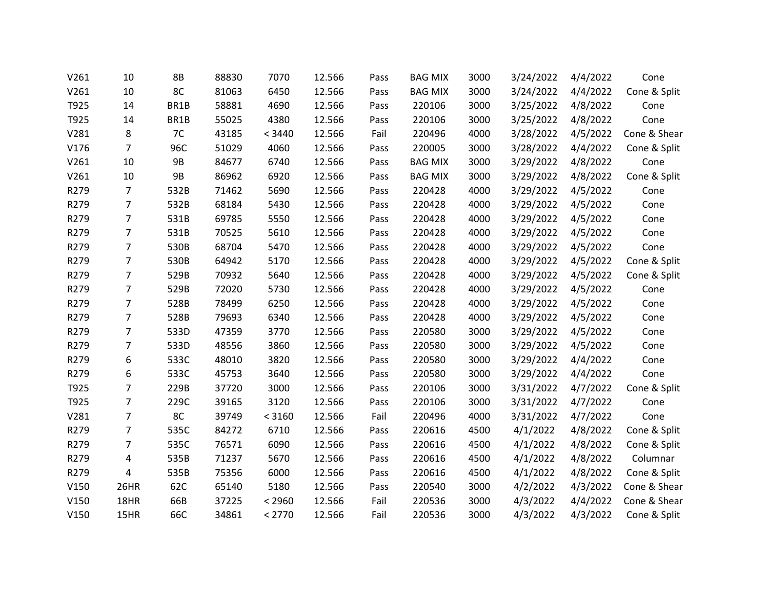| V261 | 10             | 8B        | 88830 | 7070   | 12.566 | Pass | <b>BAG MIX</b> | 3000 | 3/24/2022 | 4/4/2022 | Cone         |
|------|----------------|-----------|-------|--------|--------|------|----------------|------|-----------|----------|--------------|
| V261 | 10             | 8C        | 81063 | 6450   | 12.566 | Pass | <b>BAG MIX</b> | 3000 | 3/24/2022 | 4/4/2022 | Cone & Split |
| T925 | 14             | BR1B      | 58881 | 4690   | 12.566 | Pass | 220106         | 3000 | 3/25/2022 | 4/8/2022 | Cone         |
| T925 | 14             | BR1B      | 55025 | 4380   | 12.566 | Pass | 220106         | 3000 | 3/25/2022 | 4/8/2022 | Cone         |
| V281 | 8              | 7C        | 43185 | < 3440 | 12.566 | Fail | 220496         | 4000 | 3/28/2022 | 4/5/2022 | Cone & Shear |
| V176 | $\overline{7}$ | 96C       | 51029 | 4060   | 12.566 | Pass | 220005         | 3000 | 3/28/2022 | 4/4/2022 | Cone & Split |
| V261 | 10             | <b>9B</b> | 84677 | 6740   | 12.566 | Pass | <b>BAG MIX</b> | 3000 | 3/29/2022 | 4/8/2022 | Cone         |
| V261 | 10             | <b>9B</b> | 86962 | 6920   | 12.566 | Pass | <b>BAG MIX</b> | 3000 | 3/29/2022 | 4/8/2022 | Cone & Split |
| R279 | $\overline{7}$ | 532B      | 71462 | 5690   | 12.566 | Pass | 220428         | 4000 | 3/29/2022 | 4/5/2022 | Cone         |
| R279 | $\overline{7}$ | 532B      | 68184 | 5430   | 12.566 | Pass | 220428         | 4000 | 3/29/2022 | 4/5/2022 | Cone         |
| R279 | $\overline{7}$ | 531B      | 69785 | 5550   | 12.566 | Pass | 220428         | 4000 | 3/29/2022 | 4/5/2022 | Cone         |
| R279 | $\overline{7}$ | 531B      | 70525 | 5610   | 12.566 | Pass | 220428         | 4000 | 3/29/2022 | 4/5/2022 | Cone         |
| R279 | $\overline{7}$ | 530B      | 68704 | 5470   | 12.566 | Pass | 220428         | 4000 | 3/29/2022 | 4/5/2022 | Cone         |
| R279 | $\overline{7}$ | 530B      | 64942 | 5170   | 12.566 | Pass | 220428         | 4000 | 3/29/2022 | 4/5/2022 | Cone & Split |
| R279 | $\overline{7}$ | 529B      | 70932 | 5640   | 12.566 | Pass | 220428         | 4000 | 3/29/2022 | 4/5/2022 | Cone & Split |
| R279 | $\overline{7}$ | 529B      | 72020 | 5730   | 12.566 | Pass | 220428         | 4000 | 3/29/2022 | 4/5/2022 | Cone         |
| R279 | $\overline{7}$ | 528B      | 78499 | 6250   | 12.566 | Pass | 220428         | 4000 | 3/29/2022 | 4/5/2022 | Cone         |
| R279 | $\overline{7}$ | 528B      | 79693 | 6340   | 12.566 | Pass | 220428         | 4000 | 3/29/2022 | 4/5/2022 | Cone         |
| R279 | $\overline{7}$ | 533D      | 47359 | 3770   | 12.566 | Pass | 220580         | 3000 | 3/29/2022 | 4/5/2022 | Cone         |
| R279 | $\overline{7}$ | 533D      | 48556 | 3860   | 12.566 | Pass | 220580         | 3000 | 3/29/2022 | 4/5/2022 | Cone         |
| R279 | 6              | 533C      | 48010 | 3820   | 12.566 | Pass | 220580         | 3000 | 3/29/2022 | 4/4/2022 | Cone         |
| R279 | 6              | 533C      | 45753 | 3640   | 12.566 | Pass | 220580         | 3000 | 3/29/2022 | 4/4/2022 | Cone         |
| T925 | $\overline{7}$ | 229B      | 37720 | 3000   | 12.566 | Pass | 220106         | 3000 | 3/31/2022 | 4/7/2022 | Cone & Split |
| T925 | 7              | 229C      | 39165 | 3120   | 12.566 | Pass | 220106         | 3000 | 3/31/2022 | 4/7/2022 | Cone         |
| V281 | $\overline{7}$ | 8C        | 39749 | < 3160 | 12.566 | Fail | 220496         | 4000 | 3/31/2022 | 4/7/2022 | Cone         |
| R279 | $\overline{7}$ | 535C      | 84272 | 6710   | 12.566 | Pass | 220616         | 4500 | 4/1/2022  | 4/8/2022 | Cone & Split |
| R279 | $\overline{7}$ | 535C      | 76571 | 6090   | 12.566 | Pass | 220616         | 4500 | 4/1/2022  | 4/8/2022 | Cone & Split |
| R279 | 4              | 535B      | 71237 | 5670   | 12.566 | Pass | 220616         | 4500 | 4/1/2022  | 4/8/2022 | Columnar     |
| R279 | 4              | 535B      | 75356 | 6000   | 12.566 | Pass | 220616         | 4500 | 4/1/2022  | 4/8/2022 | Cone & Split |
| V150 | 26HR           | 62C       | 65140 | 5180   | 12.566 | Pass | 220540         | 3000 | 4/2/2022  | 4/3/2022 | Cone & Shear |
| V150 | 18HR           | 66B       | 37225 | < 2960 | 12.566 | Fail | 220536         | 3000 | 4/3/2022  | 4/4/2022 | Cone & Shear |
| V150 | 15HR           | 66C       | 34861 | < 2770 | 12.566 | Fail | 220536         | 3000 | 4/3/2022  | 4/3/2022 | Cone & Split |